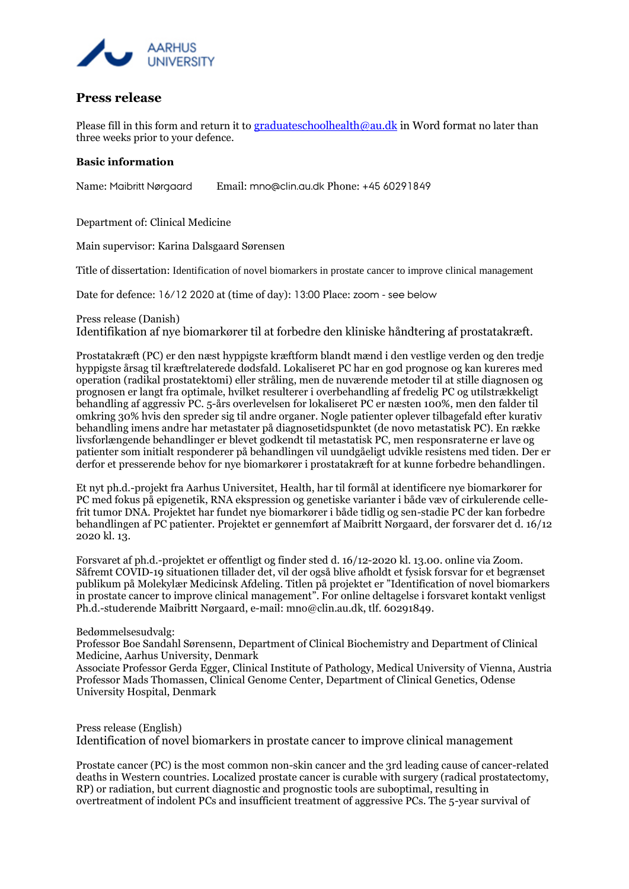

## **Press release**

Please fill in this form and return it to [graduateschoolhealth@au.dk](mailto:graduateschoolhealth@au.dk) in Word format no later than three weeks prior to your defence.

## **Basic information**

Name: Maibritt Nørgaard Email: mno@clin.au.dk Phone: +45 60291849

Department of: Clinical Medicine

Main supervisor: Karina Dalsgaard Sørensen

Title of dissertation: Identification of novel biomarkers in prostate cancer to improve clinical management

Date for defence: 16/12 2020 at (time of day): 13:00 Place: zoom - see below

Press release (Danish)

Identifikation af nye biomarkører til at forbedre den kliniske håndtering af prostatakræft.

Prostatakræft (PC) er den næst hyppigste kræftform blandt mænd i den vestlige verden og den tredje hyppigste årsag til kræftrelaterede dødsfald. Lokaliseret PC har en god prognose og kan kureres med operation (radikal prostatektomi) eller stråling, men de nuværende metoder til at stille diagnosen og prognosen er langt fra optimale, hvilket resulterer i overbehandling af fredelig PC og utilstrækkeligt behandling af aggressiv PC. 5-års overlevelsen for lokaliseret PC er næsten 100%, men den falder til omkring 30% hvis den spreder sig til andre organer. Nogle patienter oplever tilbagefald efter kurativ behandling imens andre har metastater på diagnosetidspunktet (de novo metastatisk PC). En række livsforlængende behandlinger er blevet godkendt til metastatisk PC, men responsraterne er lave og patienter som initialt responderer på behandlingen vil uundgåeligt udvikle resistens med tiden. Der er derfor et presserende behov for nye biomarkører i prostatakræft for at kunne forbedre behandlingen.

Et nyt ph.d.-projekt fra Aarhus Universitet, Health, har til formål at identificere nye biomarkører for PC med fokus på epigenetik, RNA ekspression og genetiske varianter i både væv of cirkulerende cellefrit tumor DNA. Projektet har fundet nye biomarkører i både tidlig og sen-stadie PC der kan forbedre behandlingen af PC patienter. Projektet er gennemført af Maibritt Nørgaard, der forsvarer det d. 16/12 2020 kl. 13.

Forsvaret af ph.d.-projektet er offentligt og finder sted d. 16/12-2020 kl. 13.00. online via Zoom. Såfremt COVID-19 situationen tillader det, vil der også blive afholdt et fysisk forsvar for et begrænset publikum på Molekylær Medicinsk Afdeling. Titlen på projektet er "Identification of novel biomarkers in prostate cancer to improve clinical management". For online deltagelse i forsvaret kontakt venligst Ph.d.-studerende Maibritt Nørgaard, e-mail: mno@clin.au.dk, tlf. 60291849.

Bedømmelsesudvalg:

Professor Boe Sandahl Sørensenn, Department of Clinical Biochemistry and Department of Clinical Medicine, Aarhus University, Denmark

Associate Professor Gerda Egger, Clinical Institute of Pathology, Medical University of Vienna, Austria Professor Mads Thomassen, Clinical Genome Center, Department of Clinical Genetics, Odense University Hospital, Denmark

Press release (English) Identification of novel biomarkers in prostate cancer to improve clinical management

Prostate cancer (PC) is the most common non-skin cancer and the 3rd leading cause of cancer-related deaths in Western countries. Localized prostate cancer is curable with surgery (radical prostatectomy, RP) or radiation, but current diagnostic and prognostic tools are suboptimal, resulting in overtreatment of indolent PCs and insufficient treatment of aggressive PCs. The 5-year survival of